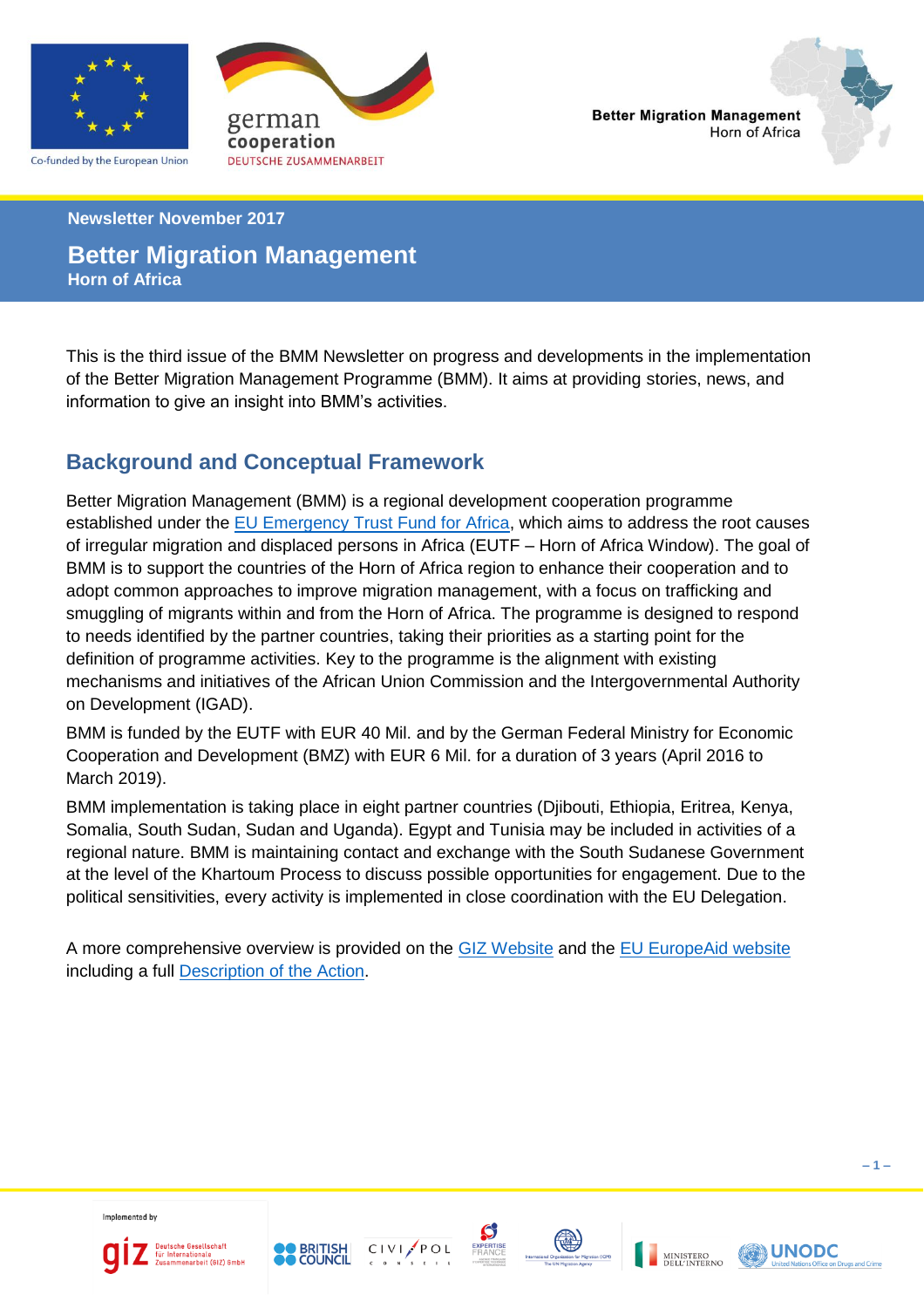

Co-funded by the European Union



**Newsletter November 2017**

# **Better Migration Management Horn of Africa**

This is the third issue of the BMM Newsletter on progress and developments in the implementation of the Better Migration Management Programme (BMM). It aims at providing stories, news, and information to give an insight into BMM's activities.

# **Background and Conceptual Framework**

Better Migration Management (BMM) is a regional development cooperation programme established under the [EU Emergency Trust Fund for Africa,](http://ec.europa.eu/europeaid/regions/africa/eu-emergency-trust-fund/horn-africa) which aims to address the root causes of irregular migration and displaced persons in Africa (EUTF – Horn of Africa Window). The goal of BMM is to support the countries of the Horn of Africa region to enhance their cooperation and to adopt common approaches to improve migration management, with a focus on trafficking and smuggling of migrants within and from the Horn of Africa. The programme is designed to respond to needs identified by the partner countries, taking their priorities as a starting point for the definition of programme activities. Key to the programme is the alignment with existing mechanisms and initiatives of the African Union Commission and the Intergovernmental Authority on Development (IGAD).

BMM is funded by the EUTF with EUR 40 Mil. and by the German Federal Ministry for Economic Cooperation and Development (BMZ) with EUR 6 Mil. for a duration of 3 years (April 2016 to March 2019).

BMM implementation is taking place in eight partner countries (Djibouti, Ethiopia, Eritrea, Kenya, Somalia, South Sudan, Sudan and Uganda). Egypt and Tunisia may be included in activities of a regional nature. BMM is maintaining contact and exchange with the South Sudanese Government at the level of the Khartoum Process to discuss possible opportunities for engagement. Due to the political sensitivities, every activity is implemented in close coordination with the EU Delegation.

A more comprehensive overview is provided on the [GIZ Website](https://www.giz.de/en/worldwide/40602.html) and the [EU EuropeAid website](https://ec.europa.eu/europeaid/trust-fund-projects/better-migration-management-support-khartoum-process_en) including a full [Description of the Action.](https://www.giz.de/en/downloads/giz2016-en-bmm-description-of-action.pdf)

Implemented by











**– 1 –**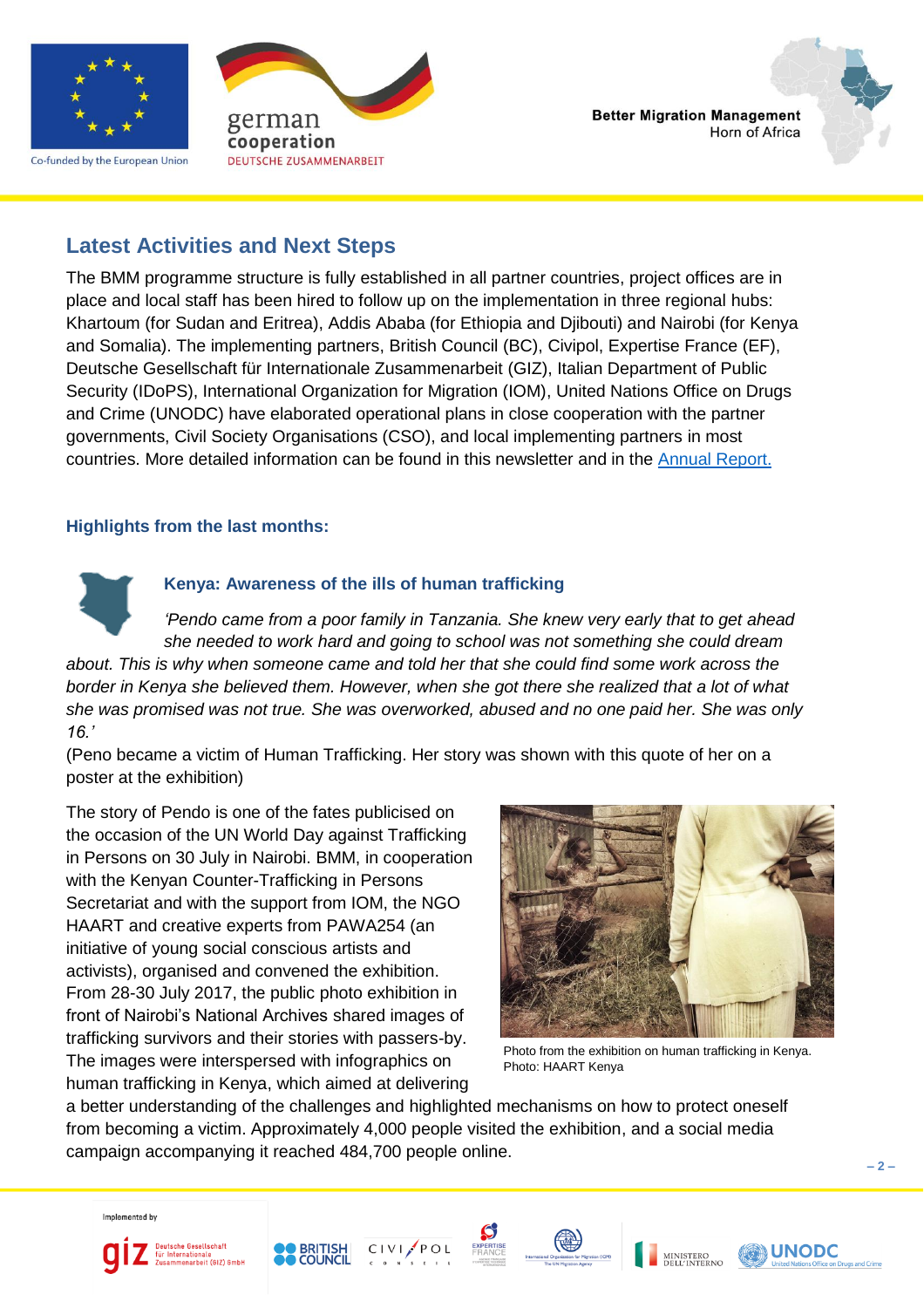

Co-funded by the European Union





# **Latest Activities and Next Steps**

The BMM programme structure is fully established in all partner countries, project offices are in place and local staff has been hired to follow up on the implementation in three regional hubs: Khartoum (for Sudan and Eritrea), Addis Ababa (for Ethiopia and Djibouti) and Nairobi (for Kenya and Somalia). The implementing partners, British Council (BC), Civipol, Expertise France (EF), Deutsche Gesellschaft für Internationale Zusammenarbeit (GIZ), Italian Department of Public Security (IDoPS), International Organization for Migration (IOM), United Nations Office on Drugs and Crime (UNODC) have elaborated operational plans in close cooperation with the partner governments, Civil Society Organisations (CSO), and local implementing partners in most countries. More detailed information can be found in this newsletter and in the [Annual Report.](https://ec.europa.eu/europeaid/better-migration-management-annual-progress-report-2017_en)

# **Highlights from the last months:**

# **Kenya: Awareness of the ills of human trafficking**

*'Pendo came from a poor family in Tanzania. She knew very early that to get ahead she needed to work hard and going to school was not something she could dream about. This is why when someone came and told her that she could find some work across the border in Kenya she believed them. However, when she got there she realized that a lot of what she was promised was not true. She was overworked, abused and no one paid her. She was only 16.'* 

(Peno became a victim of Human Trafficking. Her story was shown with this quote of her on a poster at the exhibition)

The story of Pendo is one of the fates publicised on the occasion of the UN World Day against Trafficking in Persons on 30 July in Nairobi. BMM, in cooperation with the Kenyan Counter-Trafficking in Persons Secretariat and with the support from IOM, the NGO HAART and creative experts from PAWA254 (an initiative of young social conscious artists and activists), organised and convened the exhibition. From 28-30 July 2017, the public photo exhibition in front of Nairobi's National Archives shared images of trafficking survivors and their stories with passers-by. The images were interspersed with infographics on human trafficking in Kenya, which aimed at delivering



Photo from the exhibition on human trafficking in Kenya. Photo: HAART Kenya

a better understanding of the challenges and highlighted mechanisms on how to protect oneself from becoming a victim. Approximately 4,000 people visited the exhibition, and a social media campaign accompanying it reached 484,700 people online.

Implemented by











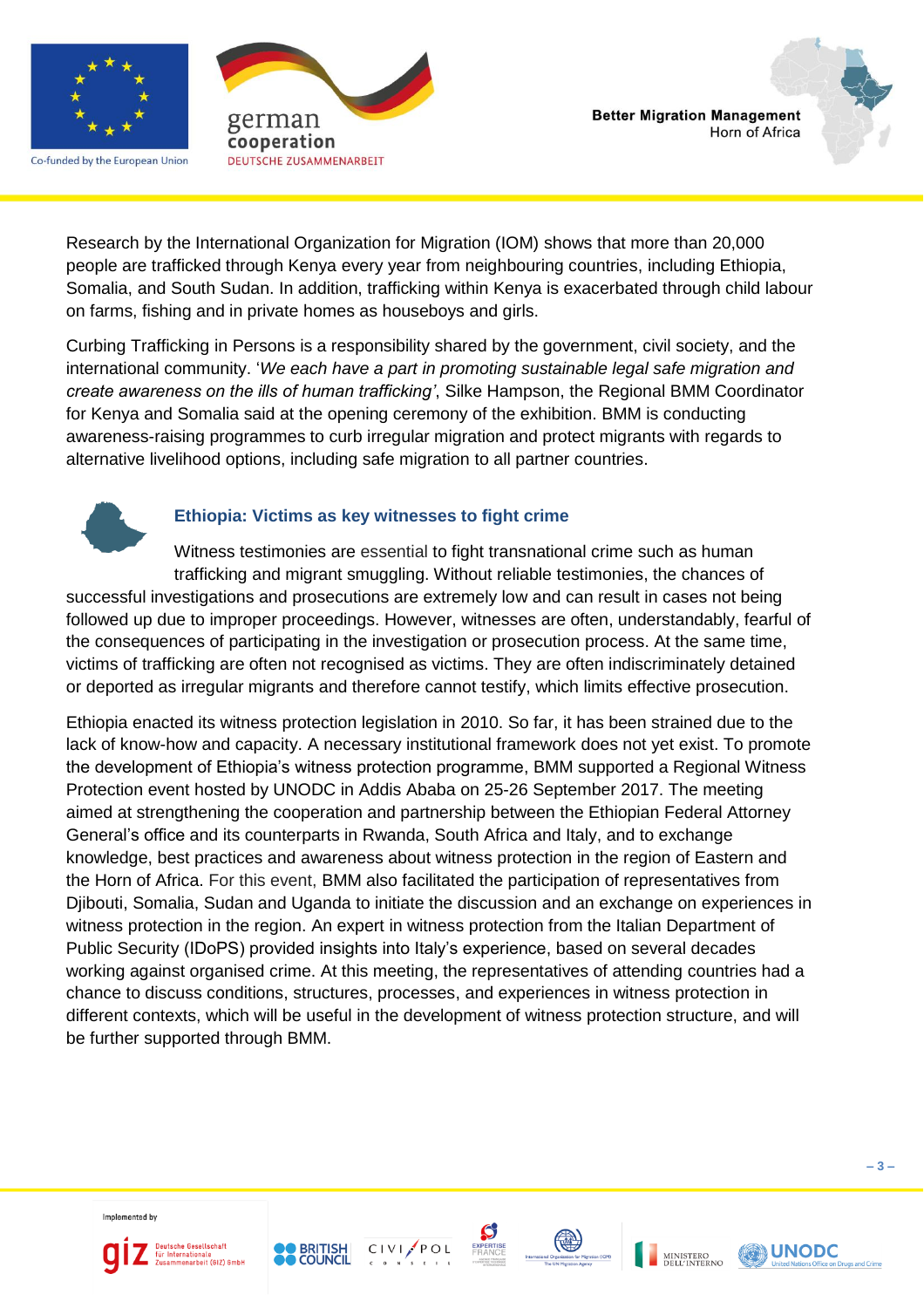

Co-funded by the European Union





Research by the International Organization for Migration (IOM) shows that more than 20,000 people are trafficked through Kenya every year from neighbouring countries, including Ethiopia, Somalia, and South Sudan. In addition, trafficking within Kenya is exacerbated through child labour on farms, fishing and in private homes as houseboys and girls.

Curbing Trafficking in Persons is a responsibility shared by the government, civil society, and the international community. '*We each have a part in promoting sustainable legal safe migration and create awareness on the ills of human trafficking'*, Silke Hampson, the Regional BMM Coordinator for Kenya and Somalia said at the opening ceremony of the exhibition. BMM is conducting awareness-raising programmes to curb irregular migration and protect migrants with regards to alternative livelihood options, including safe migration to all partner countries.



# **Ethiopia: Victims as key witnesses to fight crime**

Witness testimonies are essential to fight transnational crime such as human trafficking and migrant smuggling. Without reliable testimonies, the chances of successful investigations and prosecutions are extremely low and can result in cases not being followed up due to improper proceedings. However, witnesses are often, understandably, fearful of the consequences of participating in the investigation or prosecution process. At the same time, victims of trafficking are often not recognised as victims. They are often indiscriminately detained or deported as irregular migrants and therefore cannot testify, which limits effective prosecution.

Ethiopia enacted its witness protection legislation in 2010. So far, it has been strained due to the lack of know-how and capacity. A necessary institutional framework does not yet exist. To promote the development of Ethiopia's witness protection programme, BMM supported a Regional Witness Protection event hosted by UNODC in Addis Ababa on 25-26 September 2017. The meeting aimed at strengthening the cooperation and partnership between the Ethiopian Federal Attorney General's office and its counterparts in Rwanda, South Africa and Italy, and to exchange knowledge, best practices and awareness about witness protection in the region of Eastern and the Horn of Africa. For this event, BMM also facilitated the participation of representatives from Djibouti, Somalia, Sudan and Uganda to initiate the discussion and an exchange on experiences in witness protection in the region. An expert in witness protection from the Italian Department of Public Security (IDoPS) provided insights into Italy's experience, based on several decades working against organised crime. At this meeting, the representatives of attending countries had a chance to discuss conditions, structures, processes, and experiences in witness protection in different contexts, which will be useful in the development of witness protection structure, and will be further supported through BMM.













**UNODC**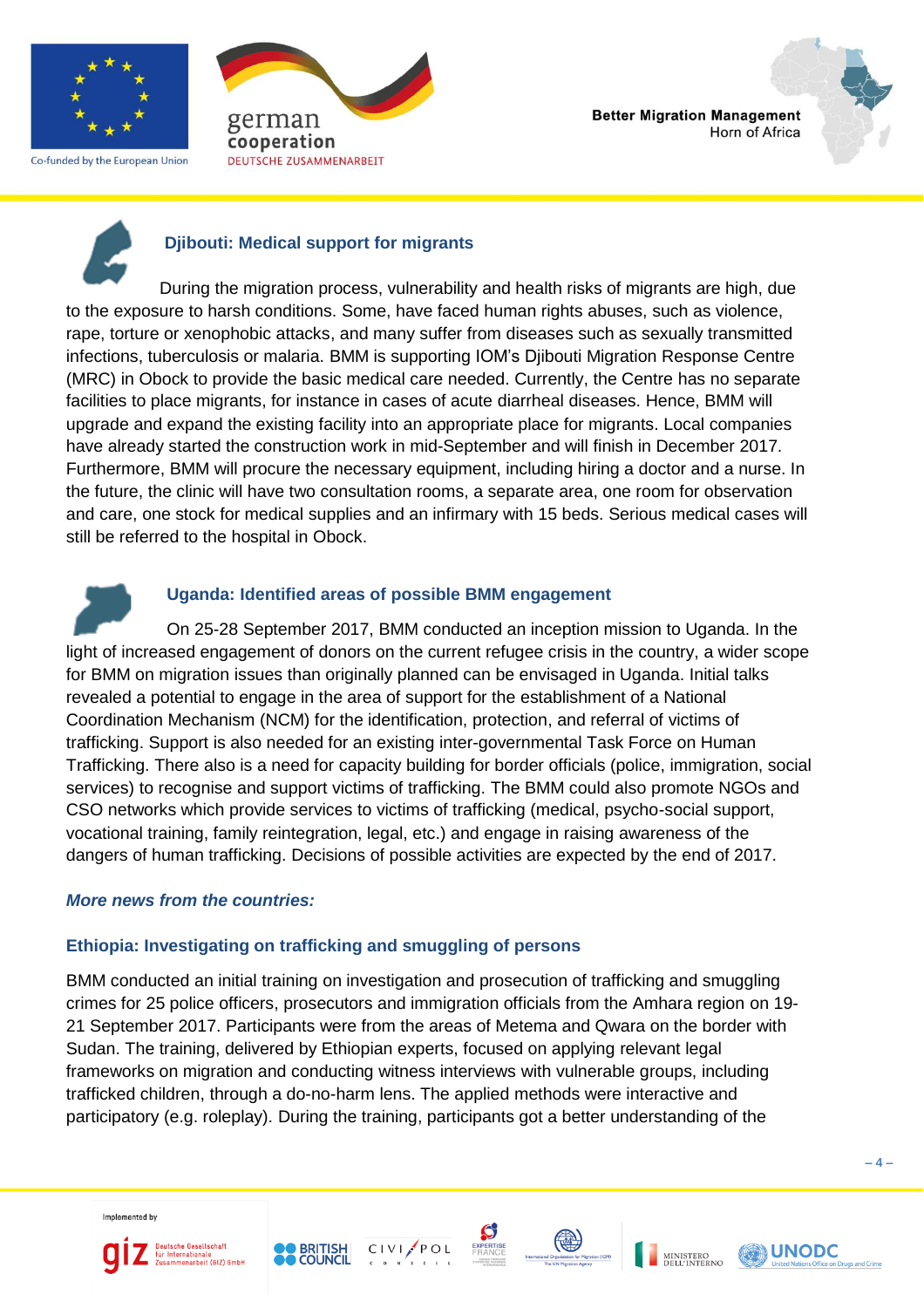

Co-funded by the European Union







# **Djibouti: Medical support for migrants**

During the migration process, vulnerability and health risks of migrants are high, due to the exposure to harsh conditions. Some, have faced human rights abuses, such as violence, rape, torture or xenophobic attacks, and many suffer from diseases such as sexually transmitted infections, tuberculosis or malaria. BMM is supporting IOM's Djibouti Migration Response Centre (MRC) in Obock to provide the basic medical care needed. Currently, the Centre has no separate facilities to place migrants, for instance in cases of acute diarrheal diseases. Hence, BMM will upgrade and expand the existing facility into an appropriate place for migrants. Local companies have already started the construction work in mid-September and will finish in December 2017. Furthermore, BMM will procure the necessary equipment, including hiring a doctor and a nurse. In the future, the clinic will have two consultation rooms, a separate area, one room for observation and care, one stock for medical supplies and an infirmary with 15 beds. Serious medical cases will still be referred to the hospital in Obock.

# **Uganda: Identified areas of possible BMM engagement**

On 25-28 September 2017, BMM conducted an inception mission to Uganda. In the light of increased engagement of donors on the current refugee crisis in the country, a wider scope for BMM on migration issues than originally planned can be envisaged in Uganda. Initial talks revealed a potential to engage in the area of support for the establishment of a National Coordination Mechanism (NCM) for the identification, protection, and referral of victims of trafficking. Support is also needed for an existing inter-governmental Task Force on Human Trafficking. There also is a need for capacity building for border officials (police, immigration, social services) to recognise and support victims of trafficking. The BMM could also promote NGOs and CSO networks which provide services to victims of trafficking (medical, psycho-social support, vocational training, family reintegration, legal, etc.) and engage in raising awareness of the dangers of human trafficking. Decisions of possible activities are expected by the end of 2017.

#### *More news from the countries:*

# **Ethiopia: Investigating on trafficking and smuggling of persons**

BMM conducted an initial training on investigation and prosecution of trafficking and smuggling crimes for 25 police officers, prosecutors and immigration officials from the Amhara region on 19- 21 September 2017. Participants were from the areas of Metema and Qwara on the border with Sudan. The training, delivered by Ethiopian experts, focused on applying relevant legal frameworks on migration and conducting witness interviews with vulnerable groups, including trafficked children, through a do-no-harm lens. The applied methods were interactive and participatory (e.g. roleplay). During the training, participants got a better understanding of the













**UNODC** 

**– 4 –**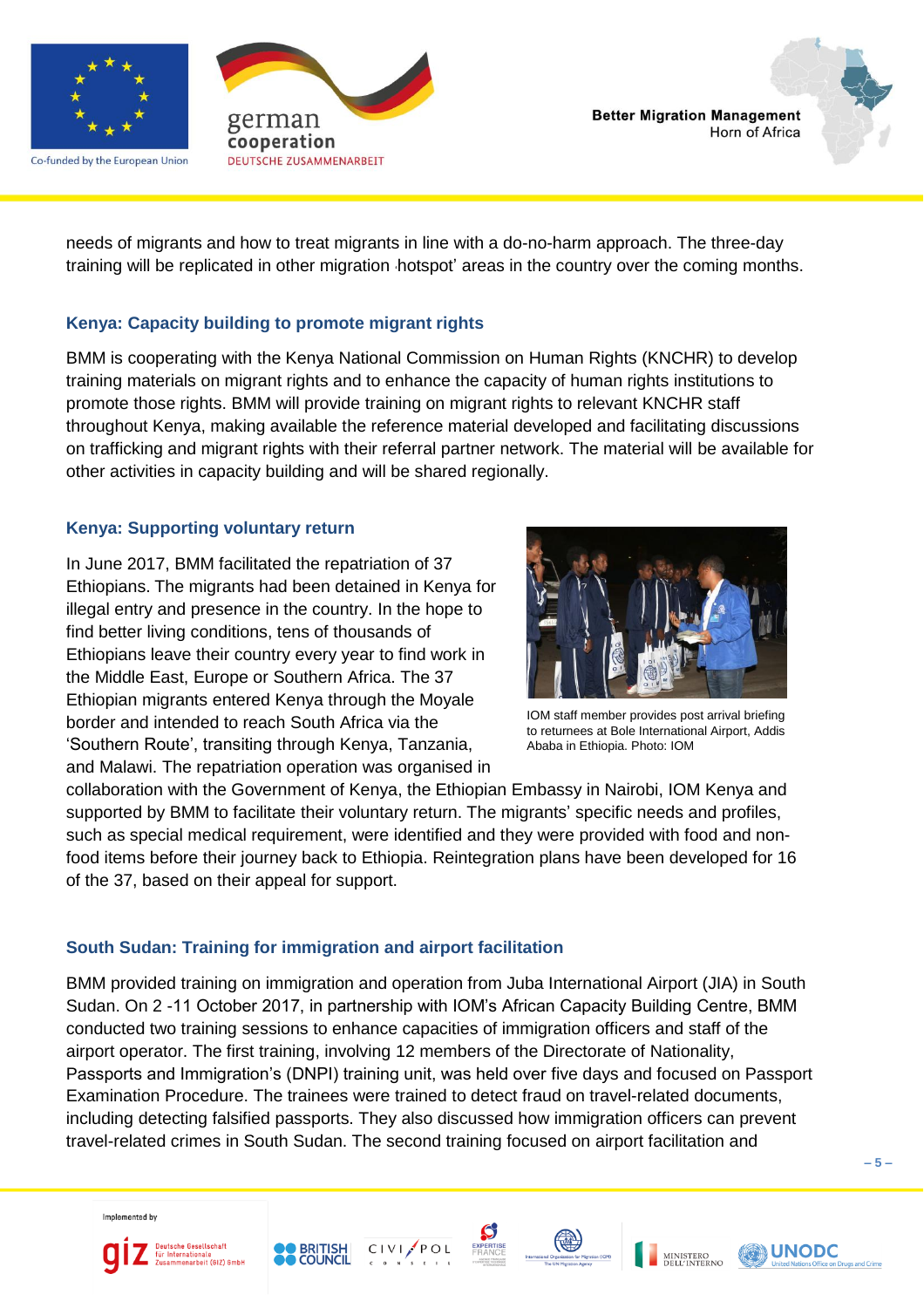

Co-funded by the European Union





needs of migrants and how to treat migrants in line with a do-no-harm approach. The three-day training will be replicated in other migration 'hotspot' areas in the country over the coming months.

#### **Kenya: Capacity building to promote migrant rights**

BMM is cooperating with the Kenya National Commission on Human Rights (KNCHR) to develop training materials on migrant rights and to enhance the capacity of human rights institutions to promote those rights. BMM will provide training on migrant rights to relevant KNCHR staff throughout Kenya, making available the reference material developed and facilitating discussions on trafficking and migrant rights with their referral partner network. The material will be available for other activities in capacity building and will be shared regionally.

#### **Kenya: Supporting voluntary return**

In June 2017, BMM facilitated the repatriation of 37 Ethiopians. The migrants had been detained in Kenya for illegal entry and presence in the country. In the hope to find better living conditions, tens of thousands of Ethiopians leave their country every year to find work in the Middle East, Europe or Southern Africa. The 37 Ethiopian migrants entered Kenya through the Moyale border and intended to reach South Africa via the 'Southern Route', transiting through Kenya, Tanzania, and Malawi. The repatriation operation was organised in



IOM staff member provides post arrival briefing to returnees at Bole International Airport, Addis Ababa in Ethiopia. Photo: IOM

collaboration with the Government of Kenya, the Ethiopian Embassy in Nairobi, IOM Kenya and supported by BMM to facilitate their voluntary return. The migrants' specific needs and profiles, such as special medical requirement, were identified and they were provided with food and nonfood items before their journey back to Ethiopia. Reintegration plans have been developed for 16 of the 37, based on their appeal for support.

#### **South Sudan: Training for immigration and airport facilitation**

BMM provided training on immigration and operation from Juba International Airport (JIA) in South Sudan. On 2 -11 October 2017, in partnership with IOM's African Capacity Building Centre, BMM conducted two training sessions to enhance capacities of immigration officers and staff of the airport operator. The first training, involving 12 members of the Directorate of Nationality, Passports and Immigration's (DNPI) training unit, was held over five days and focused on Passport Examination Procedure. The trainees were trained to detect fraud on travel-related documents, including detecting falsified passports. They also discussed how immigration officers can prevent travel-related crimes in South Sudan. The second training focused on airport facilitation and

Implemented by











**UNODC** 

**– 5 –**